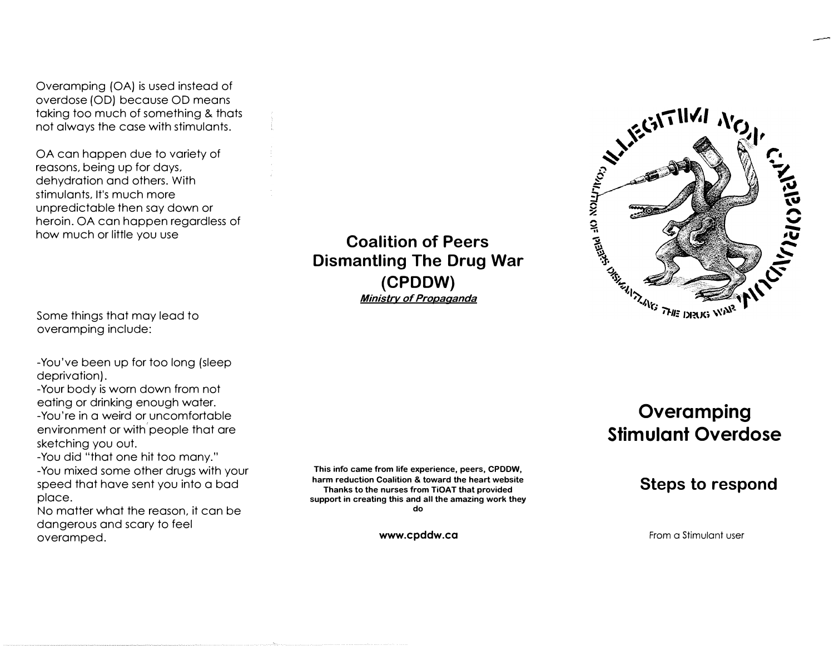Overamping (OA) is used instead of overdose (OD) because OD means taking too much of something & thats not always the case with stimulants.

OA can happen due to variety of reasons, being up for days, dehydration and others. With stimulants, It's much more unpredictable then say down or heroin. OA can happen regardless of how much or little you use

**Coalition of Peers Dismantling The Drug War (CPDDW)** *Ministry of Propaganda*



Some things that may lead to overamping include:

-You've been up for too long (sleep deprivation).

-Your body is worn down from not eating or drinking enough water.

-You're in a weird or uncomfortable environment or with people that are sketching you out.

-You did "that one hit too many."

-You mixed some other drugs with your speed that have sent you into a bad place.

No matter what the reason, it can be dangerous and scary to feel overamped.

**This info came from life experience, peers, CPDDW, harm reduction Coalition & toward the heart website Thanks to the nurses from TiOAT that provided support in creating this and all the amazing work they do** 

**www.cpddw.ca**

# **Overamping Stimulant Overdose**

# **Steps to respond**

From a Stimulant user